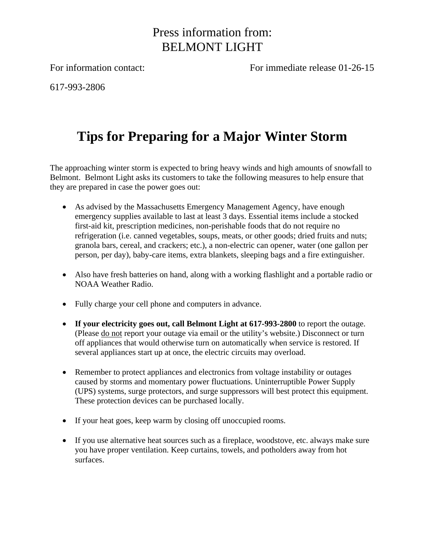## Press information from: BELMONT LIGHT

For information contact: For immediate release 01-26-15

617-993-2806

## **Tips for Preparing for a Major Winter Storm**

The approaching winter storm is expected to bring heavy winds and high amounts of snowfall to Belmont. Belmont Light asks its customers to take the following measures to help ensure that they are prepared in case the power goes out:

- As advised by the Massachusetts Emergency Management Agency, have enough emergency supplies available to last at least 3 days. Essential items include a stocked first-aid kit, prescription medicines, non-perishable foods that do not require no refrigeration (i.e. canned vegetables, soups, meats, or other goods; dried fruits and nuts; granola bars, cereal, and crackers; etc.), a non-electric can opener, water (one gallon per person, per day), baby-care items, extra blankets, sleeping bags and a fire extinguisher.
- Also have fresh batteries on hand, along with a working flashlight and a portable radio or NOAA Weather Radio.
- Fully charge your cell phone and computers in advance.
- **If your electricity goes out, call Belmont Light at 617-993-2800** to report the outage. (Please do not report your outage via email or the utility's website.) Disconnect or turn off appliances that would otherwise turn on automatically when service is restored. If several appliances start up at once, the electric circuits may overload.
- Remember to protect appliances and electronics from voltage instability or outages caused by storms and momentary power fluctuations. Uninterruptible Power Supply (UPS) systems, surge protectors, and surge suppressors will best protect this equipment. These protection devices can be purchased locally.
- If your heat goes, keep warm by closing off unoccupied rooms.
- If you use alternative heat sources such as a fireplace, woodstove, etc. always make sure you have proper ventilation. Keep curtains, towels, and potholders away from hot surfaces.